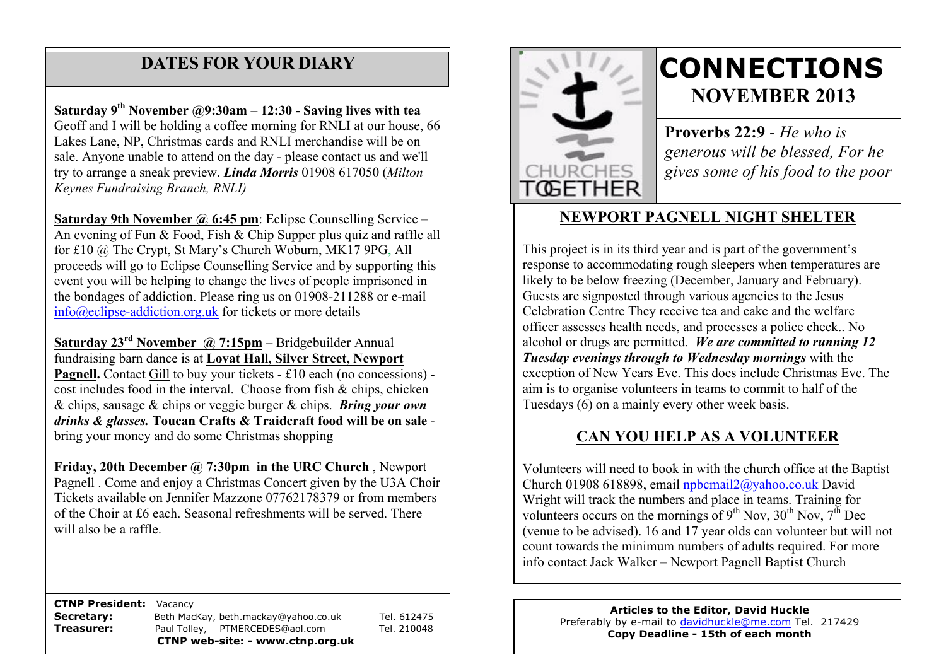## **DATES FOR YOUR DIARY**

 Lakes Lane, NP, Christmas cards and RNLI merchandise will be on sale. Anyone unable to attend on the day - please contact us and we'll **Saturday 9th November @9:30am – 12:30 - Saving lives with tea** Geoff and I will be holding a coffee morning for RNLI at our house, 66 try to arrange a sneak preview. *Linda Morris* 01908 617050 (*Milton Keynes Fundraising Branch, RNLI)*

**Saturday 9th November @ 6:45 pm**: Eclipse Counselling Service – An evening of Fun & Food, Fish & Chip Supper plus quiz and raffle all for £10 @ The Crypt, St Mary's Church Woburn, MK17 9PG, All proceeds will go to Eclipse Counselling Service and by supporting this event you will be helping to change the lives of people imprisoned in the bondages of addiction. Please ring us on 01908-211288 or e-mail info@eclipse-addiction.org.uk for tickets or more details

**Saturday 23rd November @ 7:15pm** – Bridgebuilder Annual fundraising barn dance is at **Lovat Hall, Silver Street, Newport Pagnell.** Contact Gill to buy your tickets - £10 each (no concessions) cost includes food in the interval. Choose from fish & chips, chicken & chips, sausage & chips or veggie burger & chips. *Bring your own drinks & glasses.* **Toucan Crafts & Traidcraft food will be on sale** bring your money and do some Christmas shopping

**Friday, 20th December @ 7:30pm in the URC Church** , Newport Pagnell . Come and enjoy a Christmas Concert given by the U3A Choir Tickets available on Jennifer Mazzone 07762178379 or from members of the Choir at £6 each. Seasonal refreshments will be served. There will also be a raffle.

 **CTNP President:** Vacancy **Secretary:** Beth MacKay, beth.mackay@yahoo.co.uk Tel. 612475 **Treasurer:** Paul Tolley, PTMERCEDES@aol.com Tel. 210048 **CTNP web-site: - www.ctnp.org.uk**



# **CONNECTIONS NOVEMBER 2013**

**Proverbs 22:9** - *He who is generous will be blessed, For he gives some of his food to the poor*

## **NEWPORT PAGNELL NIGHT SHELTER**

This project is in its third year and is part of the government's response to accommodating rough sleepers when temperatures are likely to be below freezing (December, January and February). Guests are signposted through various agencies to the Jesus Celebration Centre They receive tea and cake and the welfare officer assesses health needs, and processes a police check.. No alcohol or drugs are permitted. *We are committed to running 12 Tuesday evenings through to Wednesday mornings* with the exception of New Years Eve. This does include Christmas Eve. The aim is to organise volunteers in teams to commit to half of the Tuesdays (6) on a mainly every other week basis.

### **CAN YOU HELP AS A VOLUNTEER**

Volunteers will need to book in with the church office at the Baptist Church 01908 618898, email npbcmail2@yahoo.co.uk David Wright will track the numbers and place in teams. Training for volunteers occurs on the mornings of  $9<sup>th</sup>$  Nov,  $30<sup>th</sup>$  Nov,  $7<sup>th</sup>$  Dec (venue to be advised). 16 and 17 year olds can volunteer but will not count towards the minimum numbers of adults required. For more info contact Jack Walker – Newport Pagnell Baptist Church

> **Articles to the Editor, David Huckle** Preferably by e-mail to davidhuckle@me.com Tel. 217429 **Copy Deadline - 15th of each month**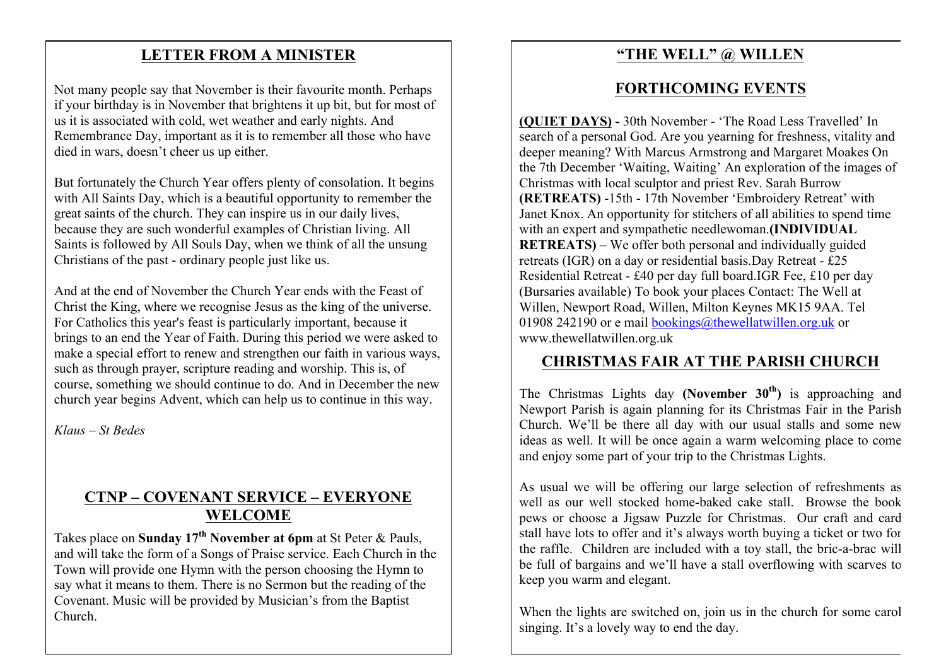### **LETTER FROM A MINISTER**

Not many people say that November is their favourite month. Perhaps if your birthday is in November that brightens it up bit, but for most of us it is associated with cold, wet weather and early nights. And Remembrance Day, important as it is to remember all those who have died in wars, doesn't cheer us up either.

But fortunately the Church Year offers plenty of consolation. It begins with All Saints Day, which is a beautiful opportunity to remember the great saints of the church. They can inspire us in our daily lives, because they are such wonderful examples of Christian living. All Saints is followed by All Souls Day, when we think of all the unsung Christians of the past - ordinary people just like us.

And at the end of November the Church Year ends with the Feast of Christ the King, where we recognise Jesus as the king of the universe. For Catholics this year's feast is particularly important, because it brings to an end the Year of Faith. During this period we were asked to make a special effort to renew and strengthen our faith in various ways, such as through prayer, scripture reading and worship. This is, of course, something we should continue to do. And in December the new church year begins Advent, which can help us to continue in this way.

*Klaus – St Bedes*

## **CTNP – COVENANT SERVICE – EVERYONE WELCOME**

Takes place on **Sunday 17th November at 6pm** at St Peter & Pauls, and will take the form of a Songs of Praise service. Each Church in the Town will provide one Hymn with the person choosing the Hymn to say what it means to them. There is no Sermon but the reading of the Covenant. Music will be provided by Musician's from the Baptist Church.

#### **"THE WELL" @ WILLEN**

#### **FORTHCOMING EVENTS**

**(QUIET DAYS) -** 30th November - 'The Road Less Travelled' In search of a personal God. Are you yearning for freshness, vitality and deeper meaning? With Marcus Armstrong and Margaret Moakes On the 7th December 'Waiting, Waiting' An exploration of the images of Christmas with local sculptor and priest Rev. Sarah Burrow **(RETREATS)** -15th - 17th November 'Embroidery Retreat' with Janet Knox. An opportunity for stitchers of all abilities to spend time with an expert and sympathetic needlewoman.**(INDIVIDUAL RETREATS)** – We offer both personal and individually guided retreats (IGR) on a day or residential basis.Day Retreat - £25 Residential Retreat - £40 per day full board.IGR Fee, £10 per day (Bursaries available) To book your places Contact: The Well at Willen, Newport Road, Willen, Milton Keynes MK15 9AA. Tel 01908 242190 or e mail bookings@thewellatwillen.org.uk or www.thewellatwillen.org.uk

#### **CHRISTMAS FAIR AT THE PARISH CHURCH**

The Christmas Lights day **(November 30th)** is approaching and Newport Parish is again planning for its Christmas Fair in the Parish Church. We'll be there all day with our usual stalls and some new ideas as well. It will be once again a warm welcoming place to come and enjoy some part of your trip to the Christmas Lights.

As usual we will be offering our large selection of refreshments as well as our well stocked home-baked cake stall. Browse the book pews or choose a Jigsaw Puzzle for Christmas. Our craft and card stall have lots to offer and it's always worth buying a ticket or two for the raffle. Children are included with a toy stall, the bric-a-brac will be full of bargains and we'll have a stall overflowing with scarves to keep you warm and elegant.

When the lights are switched on, join us in the church for some carol singing. It's a lovely way to end the day.